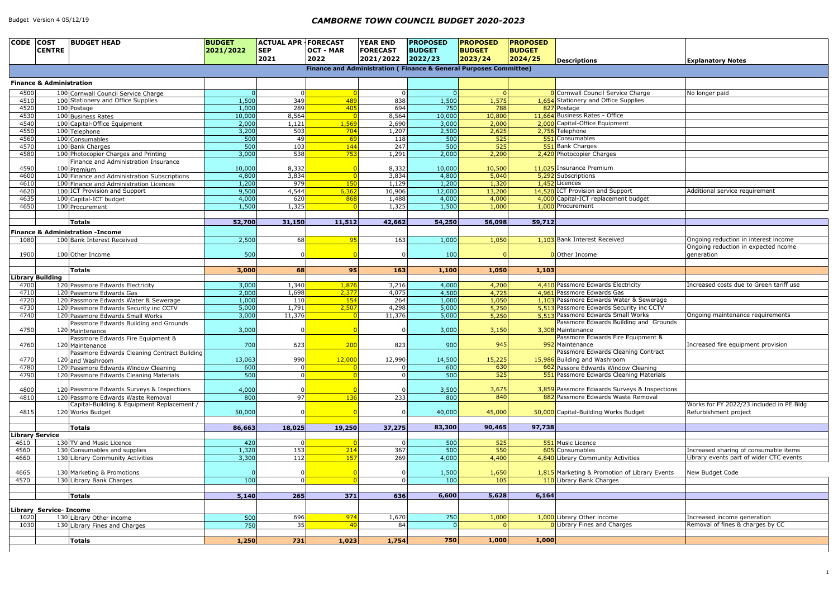| <b>Descriptions</b>                                                                                                  | <b>Explanatory Notes</b>                 |
|----------------------------------------------------------------------------------------------------------------------|------------------------------------------|
|                                                                                                                      |                                          |
|                                                                                                                      |                                          |
| Cornwall Council Service Charge                                                                                      | No longer paid                           |
| <b>Stationery and Office Supplies</b>                                                                                |                                          |
| Postage                                                                                                              |                                          |
| <b>Business Rates - Office</b><br>Capital-Office Equipment                                                           |                                          |
| <b>Telephone</b>                                                                                                     |                                          |
| Consumables                                                                                                          |                                          |
| <b>Bank Charges</b>                                                                                                  |                                          |
| Photocopier Charges                                                                                                  |                                          |
|                                                                                                                      |                                          |
| Insurance Premium                                                                                                    |                                          |
| Subscriptions                                                                                                        |                                          |
| Licences                                                                                                             |                                          |
| <b>ICT Provision and Support</b>                                                                                     | Additional service requirement           |
| Capital-ICT replacement budget                                                                                       |                                          |
| Procurement                                                                                                          |                                          |
|                                                                                                                      |                                          |
|                                                                                                                      |                                          |
|                                                                                                                      |                                          |
| <b>Bank Interest Received</b>                                                                                        | Ongoing reduction in interest income     |
|                                                                                                                      | Ongoing reduction in expected ncome      |
| Other Income                                                                                                         | generation                               |
|                                                                                                                      |                                          |
|                                                                                                                      |                                          |
| Passmore Edwards Electricity                                                                                         | Increased costs due to Green tariff use  |
| Passmore Edwards Gas                                                                                                 |                                          |
| Passmore Edwards Water & Sewerage                                                                                    |                                          |
| Passmore Edwards Security inc CCTV<br>Passmore Edwards Small Works                                                   |                                          |
| Passmore Edwards Building and Grounds                                                                                | Ongoing maintenance requirements         |
| Maintenance                                                                                                          |                                          |
| Passmore Edwards Fire Equipment &                                                                                    |                                          |
| Maintenance                                                                                                          | Increased fire equipment provision       |
| Passmore Edwards Cleaning Contract                                                                                   |                                          |
| Building and Washroom                                                                                                |                                          |
| Passore Edwards Window Cleaning                                                                                      |                                          |
| Passmore Edwards Cleaning Materials                                                                                  |                                          |
|                                                                                                                      |                                          |
| Passmore Edwards Surveys & Inspections                                                                               |                                          |
| Passmore Edwards Waste Removal                                                                                       |                                          |
|                                                                                                                      | Works for FY 2022/23 included in PE Bldg |
| Capital-Building Works Budget                                                                                        | Refurbishment project                    |
|                                                                                                                      |                                          |
|                                                                                                                      |                                          |
| Music Licence                                                                                                        |                                          |
| Consumables                                                                                                          | Increased sharing of consumable items    |
| Library Community Activities                                                                                         | Library events part of wider CTC events  |
|                                                                                                                      |                                          |
|                                                                                                                      | New Budget Code                          |
|                                                                                                                      |                                          |
|                                                                                                                      |                                          |
|                                                                                                                      |                                          |
|                                                                                                                      |                                          |
|                                                                                                                      |                                          |
|                                                                                                                      | Increased income generation              |
| Marketing & Promotion of Library Events<br>Library Bank Charges<br>Library Other income<br>Library Fines and Charges | Removal of fines & charges by CC         |

| CODE COST    | <b>BUDGET HEAD</b><br><b>CENTRE</b>                               | <b>BUDGET</b><br>2021/2022 | <b>ACTUAL APR FORECAST</b><br><b>SEP</b><br>2021 | <b>OCT - MAR</b><br>2022 | <b>YEAR END</b><br><b>FORECAST</b><br>2021/2022 | <b>PROPOSED</b><br><b>BUDGET</b><br>2022/23 | <b>PROPOSED</b><br><b>BUDGET</b><br>2023/24                       | <b>PROPOSED</b><br><b>BUDGET</b><br> 2024/25 | <b>Descriptions</b>                                                      | <b>Explanatory Notes</b>                |
|--------------|-------------------------------------------------------------------|----------------------------|--------------------------------------------------|--------------------------|-------------------------------------------------|---------------------------------------------|-------------------------------------------------------------------|----------------------------------------------|--------------------------------------------------------------------------|-----------------------------------------|
|              |                                                                   |                            |                                                  |                          |                                                 |                                             | Finance and Administration (Finance & General Purposes Committee) |                                              |                                                                          |                                         |
|              | <b>Finance &amp; Administration</b>                               |                            |                                                  |                          |                                                 |                                             |                                                                   |                                              |                                                                          |                                         |
| 4500         | 100 Cornwall Council Service Charge                               |                            | 0                                                |                          |                                                 | 0                                           |                                                                   |                                              | O Cornwall Council Service Charge                                        | No longer paid                          |
| 4510         | 100 Stationery and Office Supplies                                | 1,500                      | 349                                              | 489                      | 838                                             | 1,500                                       | 1,575                                                             |                                              | 1,654 Stationery and Office Supplies                                     |                                         |
| 4520         | 100 Postage                                                       | 1,000                      | 289                                              | 405                      | 694                                             | 750                                         | 788                                                               |                                              | 827 Postage                                                              |                                         |
| 4530         | 100 Business Rates                                                | 10,000                     | 8,564                                            |                          | 8,564                                           | 10,000                                      | 10,800                                                            |                                              | 11,664 Business Rates - Office                                           |                                         |
| 4540         | 100 Capital-Office Equipment                                      | 2,000                      | 1,121                                            | 1,569                    | 2,690                                           | 3,000                                       | 2,000                                                             |                                              | 2,000 Capital-Office Equipment                                           |                                         |
| 4550         | 100 Telephone                                                     | 3,200<br>500               | 503                                              | 704                      | 1,207                                           | 2,500<br>500                                | 2,625                                                             |                                              | 2,756 Telephone<br>551 Consumables                                       |                                         |
| 4560<br>4570 | 100 Consumables<br>100 Bank Charges                               | 500                        | 49<br>103                                        | 69<br>144                | 118<br>247                                      | 500                                         | 525<br>525                                                        |                                              | 551 Bank Charges                                                         |                                         |
| 4580         | 100 Photocopier Charges and Printing                              | 3,000                      | 538                                              | 753                      | 1,291                                           | 2,000                                       | 2,200                                                             |                                              | 2,420 Photocopier Charges                                                |                                         |
|              | Finance and Administration Insurance                              |                            |                                                  |                          |                                                 |                                             |                                                                   |                                              |                                                                          |                                         |
| 4590         | 100 Premium                                                       | 10,000                     | 8,332                                            |                          | 8,332                                           | 10,000                                      | 10,500                                                            |                                              | 11,025 Insurance Premium                                                 |                                         |
| 4600         | 100 Finance and Administration Subscriptions                      | 4,800                      | 3,834                                            |                          | 3,834                                           | 4,800                                       | 5,040                                                             |                                              | 5,292 Subscriptions                                                      |                                         |
| 4610         | 100 Finance and Administration Licences                           | 1,200                      | 979                                              | 150                      | 1,129                                           | 1,200                                       | 1,320                                                             |                                              | 1,452 Licences                                                           |                                         |
| 4620         | 100 ICT Provision and Support                                     | 9,500                      | 4,544                                            | 6,362                    | 10,906                                          | 12,000                                      | 13,200                                                            |                                              | 14,520 ICT Provision and Support<br>4,000 Capital-ICT replacement budget | Additional service requirement          |
| 4635<br>4650 | 100 Capital-ICT budget<br>100 Procurement                         | 4,000<br>1,500             | 620<br>1,325                                     | 868                      | 1,488<br>1,325                                  | 4,000<br>1,500                              | 4,000<br>1,000                                                    |                                              | 1,000 Procurement                                                        |                                         |
|              |                                                                   |                            |                                                  |                          |                                                 |                                             |                                                                   |                                              |                                                                          |                                         |
|              | <b>Totals</b>                                                     | 52,700                     | 31,150                                           | 11,512                   | 42,662                                          | 54,250                                      | 56,098                                                            | 59,712                                       |                                                                          |                                         |
|              | <b>Finance &amp; Administration -Income</b>                       |                            |                                                  |                          |                                                 |                                             |                                                                   |                                              |                                                                          |                                         |
| 1080         | 100 Bank Interest Received                                        | 2,500                      | 68                                               | 95                       | 163                                             | 1,000                                       | 1,050                                                             |                                              | 1,103 Bank Interest Received                                             | Ongoing reduction in interest income    |
|              |                                                                   |                            |                                                  |                          |                                                 |                                             |                                                                   |                                              |                                                                          | Ongoing reduction in expected ncome     |
| 1900         | 100 Other Income                                                  | 500                        |                                                  |                          |                                                 | 100                                         |                                                                   |                                              | O Other Income                                                           | generation                              |
|              |                                                                   |                            |                                                  |                          |                                                 |                                             |                                                                   |                                              |                                                                          |                                         |
|              | <b>Totals</b>                                                     | 3,000                      | 68                                               | 95                       | 163                                             | 1,100                                       | 1,050                                                             | 1,103                                        |                                                                          |                                         |
|              | <b>Library Building</b>                                           |                            |                                                  |                          |                                                 |                                             |                                                                   |                                              |                                                                          |                                         |
| 4700         | 120 Passmore Edwards Electricity                                  | 3,000                      | 1,340                                            | 1,876                    | 3,216                                           | 4,000                                       | 4,200                                                             |                                              | 4,410 Passmore Edwards Electricity<br>4,961 Passmore Edwards Gas         | Increased costs due to Green tariff use |
| 4710<br>4720 | 120 Passmore Edwards Gas<br>120 Passmore Edwards Water & Sewerage | 2,000<br>1,000             | 1,698<br>110                                     | 2,377<br>154             | 4,075<br>264                                    | 4,500<br>1,000                              | 4,725<br>1,050                                                    |                                              | 1,103 Passmore Edwards Water & Sewerage                                  |                                         |
| 4730         | 120 Passmore Edwards Security inc CCTV                            | 5,000                      | 1,791                                            | 2,507                    | 4,298                                           | 5,000                                       | 5,250                                                             |                                              | 5,513 Passmore Edwards Security inc CCTV                                 |                                         |
| 4740         | 120 Passmore Edwards Small Works                                  | 3,000                      | 11,376                                           |                          | 11,376                                          | 5,000                                       | 5,250                                                             |                                              | 5,513 Passmore Edwards Small Works                                       | Ongoing maintenance requirements        |
|              | Passmore Edwards Building and Grounds                             |                            |                                                  |                          |                                                 |                                             |                                                                   |                                              | Passmore Edwards Building and Grounds                                    |                                         |
| 4750         | 120 Maintenance                                                   | 3,000                      |                                                  |                          |                                                 | 3,000                                       | 3,150                                                             |                                              | 3,308 Maintenance                                                        |                                         |
|              | Passmore Edwards Fire Equipment &                                 |                            |                                                  |                          |                                                 |                                             |                                                                   |                                              | Passmore Edwards Fire Equipment &                                        |                                         |
| 4760         | 120 Maintenance                                                   | 700                        | 623                                              | 200                      | 823                                             | 900                                         | 945                                                               |                                              | 992 Maintenance                                                          | Increased fire equipment provision      |
| 4770         | Passmore Edwards Cleaning Contract Building                       | 13,063                     | 990                                              | 12,000                   | 12,990                                          | 14,500                                      | 15,225                                                            |                                              | Passmore Edwards Cleaning Contract<br>15,986 Building and Washroom       |                                         |
| 4780         | 120 and Washroom<br>120 Passmore Edwards Window Cleaning          | 600                        | 0                                                |                          |                                                 | 600                                         | 630                                                               |                                              | 662 Passore Edwards Window Cleaning                                      |                                         |
| 4790         | 120 Passmore Edwards Cleaning Materials                           | 500                        | 0                                                |                          |                                                 | 500                                         | 525                                                               |                                              | 551 Passmore Edwards Cleaning Materials                                  |                                         |
|              |                                                                   |                            |                                                  |                          |                                                 |                                             |                                                                   |                                              |                                                                          |                                         |
| 4800         | 120 Passmore Edwards Surveys & Inspections                        | 4,000                      | 0                                                |                          |                                                 | 3,500                                       | 3,675                                                             |                                              | 3,859 Passmore Edwards Surveys & Inspections                             |                                         |
| 4810         | 120 Passmore Edwards Waste Removal                                | 800                        | 97                                               | <b>136</b>               | 233                                             | 800                                         | 840                                                               |                                              | 882 Passmore Edwards Waste Removal                                       |                                         |
|              | Capital-Building & Equipment Replacement /                        |                            |                                                  |                          |                                                 |                                             |                                                                   |                                              |                                                                          | Works for FY 2022/23 included in PE Blo |
| 4815         | 120 Works Budget                                                  | 50,000                     |                                                  |                          |                                                 | 40,000                                      | 45,000                                                            |                                              | 50,000 Capital-Building Works Budget                                     | Refurbishment project                   |
|              | <b>Totals</b>                                                     | 86,663                     | 18,025                                           | 19,250                   | 37,275                                          | 83,300                                      | 90,465                                                            | 97,738                                       |                                                                          |                                         |
|              | <b>Library Service</b>                                            |                            |                                                  |                          |                                                 |                                             |                                                                   |                                              |                                                                          |                                         |
| 4610         | 130 TV and Music Licence                                          | 420                        | 0                                                |                          |                                                 | 500                                         | 525                                                               |                                              | 551 Music Licence                                                        |                                         |
| 4560         | 130 Consumables and supplies                                      | 1,320                      | 153                                              | 214                      | $\overline{367}$                                | $\overline{500}$                            | 550                                                               |                                              | 605 Consumables                                                          | Increased sharing of consumable items   |
| 4660         | 130 Library Community Activities                                  | 3,300                      | 112                                              | 157                      | 269                                             | 4,000                                       | 4,400                                                             |                                              | 4,840 Library Community Activities                                       | Library events part of wider CTC events |
|              |                                                                   |                            |                                                  |                          |                                                 |                                             |                                                                   |                                              |                                                                          |                                         |
| 4665         | 130 Marketing & Promotions                                        |                            |                                                  |                          |                                                 | 1,500                                       | 1,650                                                             |                                              | 1,815 Marketing & Promotion of Library Events                            | New Budget Code                         |
| 4570         | 130 Library Bank Charges                                          | 100                        | $\overline{0}$                                   |                          |                                                 | 100                                         | 105                                                               |                                              | 110 Library Bank Charges                                                 |                                         |
|              | <b>Totals</b>                                                     | 5,140                      | 265                                              | 371                      | 636                                             | 6,600                                       | 5,628                                                             | 6,164                                        |                                                                          |                                         |
|              |                                                                   |                            |                                                  |                          |                                                 |                                             |                                                                   |                                              |                                                                          |                                         |
|              | Library Service- Income                                           |                            |                                                  |                          |                                                 |                                             |                                                                   |                                              |                                                                          |                                         |
| 1020         | 130 Library Other income                                          | 500                        | 696                                              | 974                      | 1,670                                           | 750                                         | 1,000                                                             |                                              | 1,000 Library Other income                                               | Increased income generation             |
| 1030         | 130 Library Fines and Charges                                     | 750                        | 35                                               | 49                       | 84                                              |                                             | 0                                                                 |                                              | <b>0</b> Library Fines and Charges                                       | Removal of fines & charges by CC        |
|              |                                                                   |                            |                                                  |                          |                                                 |                                             |                                                                   |                                              |                                                                          |                                         |
|              | <b>Totals</b>                                                     | 1,250                      | 731                                              | 1,023                    | 1,754                                           | 750                                         | 1,000                                                             | 1,000                                        |                                                                          |                                         |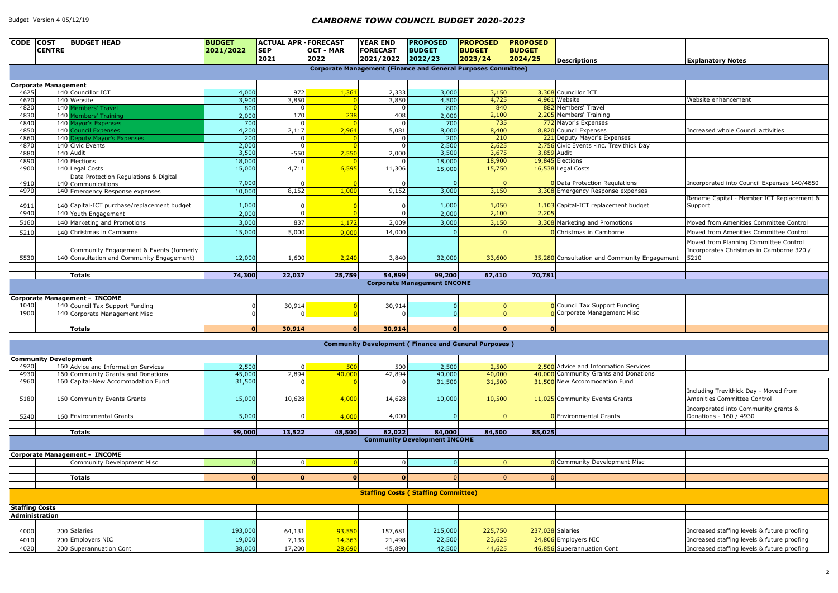|                | <b>Explanatory Notes</b>                         |
|----------------|--------------------------------------------------|
|                |                                                  |
|                |                                                  |
|                |                                                  |
|                | Website enhancement                              |
|                |                                                  |
|                |                                                  |
|                | Increased whole Council activities               |
|                |                                                  |
| k Day          |                                                  |
|                |                                                  |
|                |                                                  |
|                |                                                  |
| ١S             | Incorporated into Council Expenses 140/4850      |
| enses          | Rename Capital - Member ICT Replacement &        |
| udget          | Support                                          |
|                |                                                  |
|                | Moved from Amenities Committee Control           |
|                | Moved from Amenities Committee Control           |
|                | Moved from Planning Committee Control            |
| ity Engagement | Incorporates Christmas in Camborne 320 /<br>5210 |
|                |                                                  |
|                |                                                  |
|                |                                                  |
|                |                                                  |
| ng             |                                                  |
| SC             |                                                  |
|                |                                                  |
|                |                                                  |
|                |                                                  |
|                |                                                  |

| <b>CODE</b>           | <b>COST</b><br><b>CENTRE</b> | <b>BUDGET HEAD</b>                          | <b>BUDGET</b><br>2021/2022 | <b>ACTUAL APR   FORECAST</b><br><b>SEP</b><br>2021 | <b>OCT - MAR</b><br>2022 | <b>YEAR END</b><br><b>FORECAST</b><br>2021/2022 | <b>PROPOSED</b><br><b>BUDGET</b><br>2022/23                          | <b>PROPOSED</b><br><b>BUDGET</b><br>2023/24 | <b>PROPOSED</b><br><b>BUDGET</b><br>2024/25 | <b>Descriptions</b>                                                     | <b>Explanatory Notes</b>                             |
|-----------------------|------------------------------|---------------------------------------------|----------------------------|----------------------------------------------------|--------------------------|-------------------------------------------------|----------------------------------------------------------------------|---------------------------------------------|---------------------------------------------|-------------------------------------------------------------------------|------------------------------------------------------|
|                       |                              |                                             |                            |                                                    |                          |                                                 | <b>Corporate Management (Finance and General Purposes Committee)</b> |                                             |                                             |                                                                         |                                                      |
|                       |                              |                                             |                            |                                                    |                          |                                                 |                                                                      |                                             |                                             |                                                                         |                                                      |
| 4625                  | <b>Corporate Management</b>  | 140 Councillor ICT                          | 4,000                      | 972                                                | 1,361                    | 2,333                                           | 3,000                                                                | 3,150                                       |                                             | 3,308 Councillor ICT                                                    |                                                      |
| 4670                  |                              | 140 Website                                 | 3,900                      | 3,850                                              |                          | 3,850                                           | 4,500                                                                | 4,725                                       |                                             | 4,961 Website                                                           | Website enhancement                                  |
| 4820                  |                              | 140 Members' Travel                         | 800                        |                                                    |                          |                                                 | $\overline{800}$                                                     | 840                                         |                                             | 882 Members' Travel                                                     |                                                      |
| 4830                  |                              | 140 Members' Training                       | 2,000                      | 170                                                | 238                      | 408                                             | 2,000                                                                | 2,100                                       |                                             | 2,205 Members' Training                                                 |                                                      |
| 4840                  |                              | 140 Mayor's Expenses                        | 700                        |                                                    |                          |                                                 | 700                                                                  | 735                                         |                                             | 772 Mayor's Expenses                                                    |                                                      |
| 4850                  |                              | <b>140 Council Expenses</b>                 | 4,200                      | 2,117                                              | 2,964                    | 5,081                                           | 8,000                                                                | 8,400                                       |                                             | 8,820 Council Expenses                                                  | Increased whole Council activities                   |
| 4860                  |                              | 140 Deputy Mayor's Expenses                 | 200<br>2,000               |                                                    |                          |                                                 | $\overline{200}$<br>2,500                                            | 210<br>2,625                                |                                             | 221 Deputy Mayor's Expenses<br>2,756 Civic Events - inc. Trevithick Day |                                                      |
| 4870<br>4880          |                              | 140 Civic Events<br>140 Audit               | 3,500                      | $-550$                                             | 2,550                    | 2,000                                           | 3,500                                                                | 3,675                                       |                                             | 3,859 Audit                                                             |                                                      |
| 4890                  |                              | 140 Elections                               | 18,000                     |                                                    |                          |                                                 | 18,000                                                               | 18,900                                      |                                             | 19,845 Elections                                                        |                                                      |
| 4900                  |                              | 140 Legal Costs                             | 15,000                     | 4,711                                              | 6,595                    | 11,306                                          | 15,000                                                               | 15,750                                      |                                             | 16,538 Legal Costs                                                      |                                                      |
|                       |                              | Data Protection Regulations & Digital       |                            |                                                    |                          |                                                 |                                                                      |                                             |                                             |                                                                         |                                                      |
| 4910                  |                              | 140 Communications                          | 7,000                      |                                                    |                          |                                                 |                                                                      |                                             |                                             | <b>0</b> Data Protection Regulations                                    | Incorporated into Council Expenses 140/4850          |
| 4970                  |                              | 140 Emergency Response expenses             | 10,000                     | 8,152                                              | 1,000                    | 9,152                                           | 3,000                                                                | 3,150                                       |                                             | 3,308 Emergency Response expenses                                       |                                                      |
| 4911                  |                              | 140 Capital-ICT purchase/replacement budget | 1,000                      |                                                    |                          |                                                 | 1,000                                                                | 1,050                                       |                                             | 1,103 Capital-ICT replacement budget                                    | Rename Capital - Member ICT Replacement 8<br>Support |
| 4940                  |                              | 140 Youth Engagement                        | 2,000                      | $\Omega$                                           |                          |                                                 | 2,000                                                                | 2,100                                       | 2,205                                       |                                                                         |                                                      |
| 5160                  |                              | 140 Marketing and Promotions                | 3,000                      | 837                                                | 1,172                    | 2,009                                           | 3,000                                                                | 3,150                                       |                                             | 3,308 Marketing and Promotions                                          | Moved from Amenities Committee Control               |
|                       |                              |                                             |                            |                                                    |                          |                                                 |                                                                      |                                             |                                             |                                                                         |                                                      |
| 5210                  |                              | 140 Christmas in Camborne                   | 15,000                     | 5,000                                              | 9,000                    | 14,000                                          |                                                                      |                                             |                                             | <b>0</b> Christmas in Camborne                                          | Moved from Amenities Committee Control               |
|                       |                              |                                             |                            |                                                    |                          |                                                 |                                                                      |                                             |                                             |                                                                         | Moved from Planning Committee Control                |
|                       |                              | Community Engagement & Events (formerly     |                            |                                                    |                          |                                                 |                                                                      |                                             |                                             |                                                                         | Incorporates Christmas in Camborne 320 /             |
| 5530                  |                              | 140 Consultation and Community Engagement)  | 12,000                     | 1,600                                              | 2,240                    | 3,840                                           | 32,000                                                               | 33,600                                      |                                             | 35,280 Consultation and Community Engagement                            | 5210                                                 |
|                       |                              |                                             |                            |                                                    |                          |                                                 |                                                                      |                                             |                                             |                                                                         |                                                      |
|                       |                              | <b>Totals</b>                               | 74,300                     | 22,037                                             | 25,759                   | 54,899                                          | 99,200<br><b>Corporate Management INCOME</b>                         | 67,410                                      | 70,781                                      |                                                                         |                                                      |
|                       |                              |                                             |                            |                                                    |                          |                                                 |                                                                      |                                             |                                             |                                                                         |                                                      |
|                       |                              | <b>Corporate Management - INCOME</b>        |                            |                                                    |                          |                                                 |                                                                      |                                             |                                             |                                                                         |                                                      |
| 1040                  |                              | 140 Council Tax Support Funding             |                            | 30,914                                             |                          | 30,914                                          | $\Omega$                                                             |                                             |                                             | <b>0</b> Council Tax Support Funding                                    |                                                      |
| 1900                  |                              | 140 Corporate Management Misc               |                            |                                                    |                          |                                                 | $\Omega$                                                             |                                             |                                             | O Corporate Management Misc                                             |                                                      |
|                       |                              |                                             |                            |                                                    |                          |                                                 |                                                                      |                                             |                                             |                                                                         |                                                      |
|                       |                              | <b>Totals</b>                               | $\mathbf{0}$               | 30,914                                             |                          | 30,914                                          | $\mathbf{0}$                                                         |                                             | $\Omega$                                    | 0                                                                       |                                                      |
|                       |                              |                                             |                            |                                                    |                          |                                                 | <b>Community Development (Finance and General Purposes)</b>          |                                             |                                             |                                                                         |                                                      |
|                       |                              |                                             |                            |                                                    |                          |                                                 |                                                                      |                                             |                                             |                                                                         |                                                      |
|                       | <b>Community Development</b> |                                             |                            |                                                    |                          |                                                 |                                                                      |                                             |                                             |                                                                         |                                                      |
| 4920                  |                              | 160 Advice and Information Services         | 2,500                      |                                                    | 500                      | 500                                             | 2,500                                                                | 2,500                                       |                                             | 2.500 Advice and Information Services                                   |                                                      |
| 4930                  |                              | 160 Community Grants and Donations          | 45,000                     | 2,894                                              | 40,000                   | 42,894                                          | 40,000                                                               | 40,000                                      |                                             | 40,000 Community Grants and Donations                                   |                                                      |
| 4960                  |                              | 160 Capital-New Accommodation Fund          | 31,500                     |                                                    |                          |                                                 | 31,500                                                               | 31,500                                      |                                             | 31,500 New Accommodation Fund                                           |                                                      |
|                       |                              |                                             |                            |                                                    |                          |                                                 |                                                                      |                                             |                                             |                                                                         | Including Trevithick Day - Moved from                |
| 5180                  |                              | 160 Community Events Grants                 | 15,000                     | 10,628                                             | 4,000                    | 14,628                                          | 10,000                                                               | 10,500                                      |                                             | 11,025 Community Events Grants                                          | Amenities Committee Control                          |
|                       |                              |                                             |                            |                                                    |                          |                                                 |                                                                      |                                             |                                             |                                                                         | Incorporated into Community grants &                 |
| 5240                  |                              | 160 Environmental Grants                    | 5,000                      |                                                    | 4,000                    | 4,000                                           |                                                                      |                                             |                                             | 0 Environmental Grants                                                  | Donations - 160 / 4930                               |
|                       |                              |                                             |                            |                                                    |                          |                                                 |                                                                      |                                             |                                             |                                                                         |                                                      |
|                       |                              | <b>Totals</b>                               | 99,000                     | 13,522                                             | 48,500                   | 62,022                                          | 84,000<br><b>Community Development INCOME</b>                        | 84,500                                      | 85,025                                      |                                                                         |                                                      |
|                       |                              |                                             |                            |                                                    |                          |                                                 |                                                                      |                                             |                                             |                                                                         |                                                      |
|                       |                              | <b>Corporate Management - INCOME</b>        |                            |                                                    |                          |                                                 |                                                                      |                                             |                                             |                                                                         |                                                      |
|                       |                              | Community Development Misc                  |                            |                                                    |                          |                                                 | $\Omega$                                                             |                                             |                                             | <b>0</b> Community Development Misc                                     |                                                      |
|                       |                              |                                             |                            |                                                    |                          |                                                 |                                                                      |                                             |                                             |                                                                         |                                                      |
|                       |                              | <b>Totals</b>                               | $\mathbf{0}$               |                                                    |                          |                                                 |                                                                      |                                             |                                             | $\Omega$                                                                |                                                      |
|                       |                              |                                             |                            |                                                    |                          |                                                 |                                                                      |                                             |                                             |                                                                         |                                                      |
|                       |                              |                                             |                            |                                                    |                          |                                                 | <b>Staffing Costs (Staffing Committee)</b>                           |                                             |                                             |                                                                         |                                                      |
| <b>Staffing Costs</b> |                              |                                             |                            |                                                    |                          |                                                 |                                                                      |                                             |                                             |                                                                         |                                                      |
| Administration        |                              |                                             |                            |                                                    |                          |                                                 |                                                                      |                                             |                                             |                                                                         |                                                      |
|                       |                              |                                             |                            |                                                    |                          |                                                 |                                                                      |                                             |                                             |                                                                         |                                                      |
| 4000                  |                              | 200 Salaries                                | 193,000                    | 64,131                                             | 93,550                   | 157,681                                         | 215,000                                                              | 225,750                                     |                                             | 237,038 Salaries                                                        | Increased staffing levels & future proofing          |
| 4010                  |                              | 200 Employers NIC                           | 19,000                     | 7,135                                              | 14,363                   | 21,498                                          | 22,500                                                               | 23,625                                      |                                             | 24,806 Employers NIC                                                    | Increased staffing levels & future proofing          |
| 4020                  |                              | 200 Superannuation Cont                     | 38,000                     | 17,200                                             | 28,690                   | 45,890                                          | 42,500                                                               | 44,625                                      |                                             | 46,856 Superannuation Cont                                              | Increased staffing levels & future proofing          |

| ervices  |                                                                      |
|----------|----------------------------------------------------------------------|
| onations |                                                                      |
|          |                                                                      |
|          | Including Trevithick Day - Moved from<br>Amenities Committee Control |
|          | Incorporated into Community grants &<br>Donations - 160 / 4930       |
|          |                                                                      |
|          |                                                                      |
|          |                                                                      |
|          |                                                                      |
| Misc     |                                                                      |
|          |                                                                      |
|          |                                                                      |
|          |                                                                      |
|          |                                                                      |
|          |                                                                      |
|          |                                                                      |
|          | Increased staffing levels & future proofing                          |
|          | Increased staffing levels & future proofing                          |
|          | Increased staffing levels & future proofing                          |
|          |                                                                      |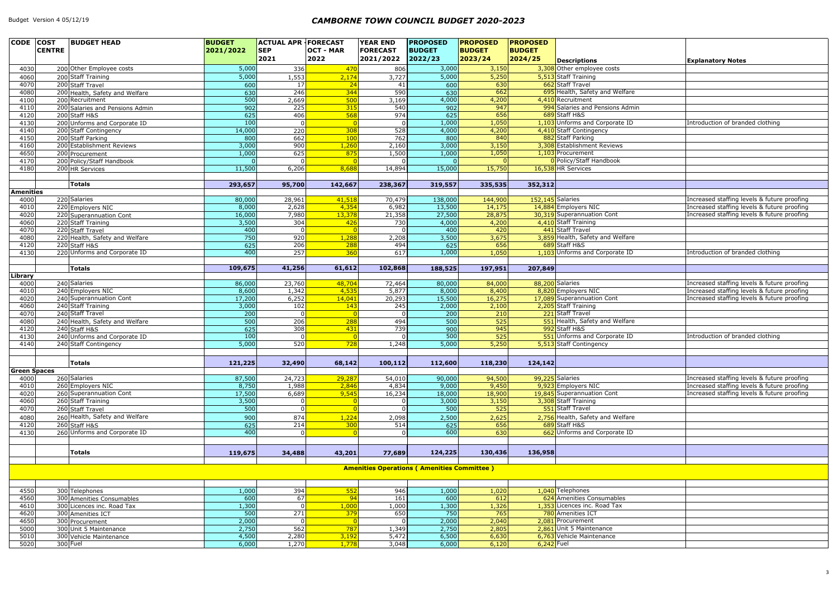| CODE COST<br><b>CENTRE</b> | <b>BUDGET HEAD</b>                            | <b>BUDGET</b><br>2021/2022 | <b>ACTUAL APR   FORECAST</b><br><b>SEP</b><br>2021 | <b>OCT - MAR</b><br>2022 | <b>YEAR END</b><br><b>FORECAST</b><br>2021/2022 | <b>PROPOSED</b><br><b>BUDGET</b><br>2022/23       | <b>PROPOSED</b><br><b>BUDGET</b><br>2023/24 | <b>PROPOSED</b><br><b>BUDGET</b><br>2024/25 | <b>Descriptions</b>                                | <b>Explanatory Notes</b>                                                                   |
|----------------------------|-----------------------------------------------|----------------------------|----------------------------------------------------|--------------------------|-------------------------------------------------|---------------------------------------------------|---------------------------------------------|---------------------------------------------|----------------------------------------------------|--------------------------------------------------------------------------------------------|
| 4030                       | 200 Other Employee costs                      | 5,000                      | 336                                                | 470                      | 806                                             | 3,000                                             | 3,150                                       |                                             | 3,308 Other employee costs                         |                                                                                            |
| 4060                       | 200 Staff Training                            | 5,000                      | 1,553                                              | 2,174                    | 3,727                                           | 5,000                                             | 5,250                                       |                                             | 5,513 Staff Training                               |                                                                                            |
| 4070                       | 200 Staff Travel                              | 600                        | 17                                                 | 24                       | 41                                              | 600                                               | 630                                         |                                             | 662 Staff Travel                                   |                                                                                            |
| 4080                       | 200 Health, Safety and Welfare                | 630                        | 246                                                | 344                      | 590                                             | 630                                               | 662                                         |                                             | 695 Health, Safety and Welfare                     |                                                                                            |
| 4100                       | 200 Recruitment                               | 500                        | 2,669                                              | 500                      | 3,169                                           | 4,000                                             | 4,200                                       |                                             | 4,410 Recruitment                                  |                                                                                            |
| 4110                       | 200 Salaries and Pensions Admin               | 902                        | 225                                                | 315                      | 540                                             | 902                                               | 947                                         |                                             | 994 Salaries and Pensions Admin                    |                                                                                            |
| 4120                       | 200 Staff H&S                                 | 625                        | 406                                                | 568                      | 974                                             | $\overline{625}$                                  | 656                                         |                                             | 689 Staff H&S                                      |                                                                                            |
| 4130                       | 200 Unforms and Corporate ID                  | 100<br>14,000              |                                                    |                          |                                                 | 1,000<br>4,000                                    | 1,050                                       |                                             | 1,103 Unforms and Corporate ID                     | Introduction of branded clothing                                                           |
| 4140<br>4150               | 200 Staff Contingency<br>200 Staff Parking    | 800                        | 220<br>662                                         | 308<br>100               | 528<br>762                                      | 800                                               | 4,200<br>840                                |                                             | 4,410 Staff Contingency<br>882 Staff Parking       |                                                                                            |
| 4160                       | 200 Establishment Reviews                     | 3,000                      | 900                                                | 1,260                    | 2,160                                           | 3,000                                             | 3,150                                       |                                             | 3,308 Establishment Reviews                        |                                                                                            |
| 4650                       | 200 Procurement                               | 1,000                      | 625                                                | 875                      | 1,500                                           | 1,000                                             | 1,050                                       |                                             | 1,103 Procurement                                  |                                                                                            |
| 4170                       | 200 Policy/Staff Handbook                     |                            |                                                    |                          |                                                 |                                                   |                                             |                                             | O Policy/Staff Handbook                            |                                                                                            |
| 4180                       | 200 HR Services                               | 11,500                     | 6,206                                              | 8,688                    | 14,894                                          | 15,000                                            | 15,750                                      |                                             | 16,538 HR Services                                 |                                                                                            |
|                            |                                               |                            |                                                    |                          |                                                 |                                                   |                                             |                                             |                                                    |                                                                                            |
|                            | <b>Totals</b>                                 | 293,657                    | 95,700                                             | 142,667                  | 238,367                                         | 319,557                                           | 335,535                                     | 352,312                                     |                                                    |                                                                                            |
| <b>Amenities</b>           |                                               |                            |                                                    |                          |                                                 |                                                   |                                             |                                             |                                                    |                                                                                            |
| 4000                       | 220 Salaries                                  | 80,000                     | 28,961                                             | 41,518                   | 70,479                                          | 138,000                                           | 144,900                                     |                                             | 152,145 Salaries                                   | Increased staffing levels & future proofing                                                |
| 4010<br>4020               | 220 Employers NIC                             | 8,000<br>16,000            | 2,628<br>7,980                                     | 4,354<br>13,378          | 6,982                                           | 13,500<br>27,500                                  | 14,175<br>28,875                            |                                             | 14,884 Employers NIC<br>30,319 Superannuation Cont | Increased staffing levels & future proofing<br>Increased staffing levels & future proofing |
| 4060                       | 220 Superannuation Cont<br>220 Staff Training | 3,500                      | 304                                                | 426                      | 21,358<br>$\overline{730}$                      | 4,000                                             | 4,200                                       |                                             | 4,410 Staff Training                               |                                                                                            |
| 4070                       | 220 Staff Travel                              | 400                        |                                                    |                          |                                                 | 400                                               | 420                                         |                                             | 441 Staff Travel                                   |                                                                                            |
| 4080                       | 220 Health, Safety and Welfare                | 750                        | 920                                                | 1,288                    | 2,208                                           | 3,500                                             | 3,675                                       |                                             | 3,859 Health, Safety and Welfare                   |                                                                                            |
| 4120                       | 220 Staff H&S                                 | 625                        | 206                                                | 288                      | 494                                             | 625                                               | 656                                         |                                             | 689 Staff H&S                                      |                                                                                            |
| 4130                       | 220 Unforms and Corporate ID                  | 400                        | 257                                                | 360                      | 617                                             | 1,000                                             | 1,050                                       |                                             | 1,103 Unforms and Corporate ID                     | Introduction of branded clothing                                                           |
|                            |                                               |                            |                                                    |                          |                                                 |                                                   |                                             |                                             |                                                    |                                                                                            |
|                            | <b>Totals</b>                                 | 109,675                    | 41,256                                             | 61,612                   | 102,868                                         | 188,525                                           | 197,951                                     | 207,849                                     |                                                    |                                                                                            |
| <b>Library</b>             |                                               |                            |                                                    |                          |                                                 |                                                   |                                             |                                             |                                                    |                                                                                            |
| 4000                       | 240 Salaries<br>240 Employers NIC             | 86,000                     | 23,760                                             | 48,704                   | 72,464                                          | 80,000                                            | 84,000                                      |                                             | 88,200 Salaries<br>8,820 Employers NIC             | Increased staffing levels & future proofing<br>Increased staffing levels & future proofing |
| 4010<br>4020               | 240 Superannuation Cont                       | 8,600<br>17,200            | 1,342<br>6,252                                     | 4,535<br>14,041          | 5,877<br>20,293                                 | 8,000<br>15,500                                   | 8,400<br>16,275                             |                                             | 17,089 Superannuation Cont                         | Increased staffing levels & future proofing                                                |
| 4060                       | 240 Staff Training                            | 3,000                      | 102                                                | 143                      | $\overline{245}$                                | 2,000                                             | 2,100                                       |                                             | 2,205 Staff Training                               |                                                                                            |
| 4070                       | 240 Staff Travel                              | $\overline{200}$           |                                                    |                          |                                                 | $\overline{200}$                                  | 210                                         |                                             | 221 Staff Travel                                   |                                                                                            |
| 4080                       | 240 Health, Safety and Welfare                | 500                        | 206                                                | 288                      | 494                                             | 500                                               | 525                                         |                                             | 551 Health, Safety and Welfare                     |                                                                                            |
| 4120                       | 240 Staff H&S                                 | 625                        | 308                                                | 431                      | 739                                             | 900                                               | 945                                         |                                             | 992 Staff H&S                                      |                                                                                            |
| 4130                       | 240 Unforms and Corporate ID                  | 100                        |                                                    |                          |                                                 | 500                                               | 525                                         |                                             | 551 Unforms and Corporate ID                       | Introduction of branded clothing                                                           |
| 4140                       | 240 Staff Contingency                         | 5,000                      | 520                                                | 728                      | 1,248                                           | 5,000                                             | 5,250                                       |                                             | 5,513 Staff Contingency                            |                                                                                            |
|                            |                                               |                            |                                                    |                          |                                                 |                                                   |                                             |                                             |                                                    |                                                                                            |
|                            | <b>Totals</b>                                 | 121,225                    | 32,490                                             | 68,142                   | 100,112                                         | 112,600                                           | 118,230                                     | 124,142                                     |                                                    |                                                                                            |
| <b>Green Spaces</b>        |                                               |                            |                                                    |                          |                                                 |                                                   |                                             |                                             |                                                    |                                                                                            |
| 4000                       | 260 Salaries                                  | 87,500                     | 24,723                                             | 29,287                   | 54,010                                          | 90,000                                            | 94,500                                      |                                             | 99,225 Salaries                                    | Increased staffing levels & future proofing                                                |
| 4010                       | 260 Employers NIC                             | 8,750                      | 1,988                                              | 2,846                    | 4,834                                           | 9,000                                             | 9,450                                       |                                             | 9,923 Employers NIC                                | Increased staffing levels & future proofing                                                |
| 4020                       | 260 Superannuation Cont                       | 17,500                     | 6,689                                              | 9,545                    | 16,234                                          | 18,000                                            | 18,900                                      |                                             | 19,845 Superannuation Cont                         | Increased staffing levels & future proofing                                                |
| 4060                       | 260 Staff Training<br>260 Staff Travel        | 3,500                      | $\Omega$                                           |                          |                                                 | 3,000<br>500                                      | 3,150                                       |                                             | 3,308 Staff Training<br>551 Staff Travel           |                                                                                            |
| 4070                       | 260 Health, Safety and Welfare                | 500                        |                                                    |                          |                                                 |                                                   | 525                                         |                                             | 2,756 Health, Safety and Welfare                   |                                                                                            |
| 4080<br>4120               | 260 Staff H&S                                 | 900<br>625                 | 874<br>$\overline{214}$                            | 1,224<br>300             | 2,098<br>514                                    | 2,500<br>625                                      | 2,625<br>656                                |                                             | 689 Staff H&S                                      |                                                                                            |
| 4130                       | 260 Unforms and Corporate ID                  | 400                        |                                                    |                          |                                                 | 600                                               | 630                                         |                                             | 662 Unforms and Corporate ID                       |                                                                                            |
|                            |                                               |                            |                                                    |                          |                                                 |                                                   |                                             |                                             |                                                    |                                                                                            |
|                            |                                               |                            |                                                    |                          |                                                 |                                                   |                                             |                                             |                                                    |                                                                                            |
|                            | <b>Totals</b>                                 | 119,675                    | 34,488                                             | 43,201                   | 77,689                                          | 124,225                                           | 130,436                                     | 136,958                                     |                                                    |                                                                                            |
|                            |                                               |                            |                                                    |                          |                                                 | <b>Amenities Operations (Amenities Committee)</b> |                                             |                                             |                                                    |                                                                                            |
|                            |                                               |                            |                                                    |                          |                                                 |                                                   |                                             |                                             |                                                    |                                                                                            |
|                            |                                               |                            |                                                    |                          |                                                 |                                                   |                                             |                                             |                                                    |                                                                                            |
| 4550                       | 300 Telephones                                | 1,000                      | 394                                                | 552                      | 946                                             | 1,000                                             | 1,020                                       |                                             | 1,040 Telephones                                   |                                                                                            |
| 4560                       | 300 Amenities Consumables                     | 600                        | 67                                                 | 94                       | 161                                             | 600                                               | 612                                         |                                             | 624 Amenities Consumables                          |                                                                                            |
| 4610                       | 300 Licences inc. Road Tax                    | 1,300                      |                                                    | 1,000                    | 1,000                                           | 1,300                                             | 1,326                                       |                                             | 1,353 Licences inc. Road Tax                       |                                                                                            |
| 4620                       | 300 Amenities ICT                             | 500                        | 271                                                | 379                      | 650                                             | 750                                               | 765                                         |                                             | 780 Amenities ICT                                  |                                                                                            |
| 4650                       | 300 Procurement                               | 2,000                      |                                                    | $\Omega$                 |                                                 | 2,000                                             | 2,040                                       |                                             | 2,081 Procurement                                  |                                                                                            |
| 5000                       | 300 Unit 5 Maintenance                        | 2,750                      | 562                                                | 787                      | 1,349                                           | 2,750                                             | 2,805                                       |                                             | 2,861 Unit 5 Maintenance                           |                                                                                            |
| 5010                       | 300 Vehicle Maintenance                       | 4,500                      | 2,280<br>1,270                                     | 3,192<br>1,778           | 5,472                                           | 6,500                                             | 6,630                                       |                                             | 6,763 Vehicle Maintenance                          |                                                                                            |
| 5020                       | 300 Fuel                                      | 6,000                      |                                                    |                          | 3,048                                           | 6,000                                             | 6,120                                       | $6,242$ Fuel                                |                                                    |                                                                                            |

|     | <b>Explanatory Notes</b>                                                                   |
|-----|--------------------------------------------------------------------------------------------|
|     |                                                                                            |
|     |                                                                                            |
| e   |                                                                                            |
|     |                                                                                            |
| ıin |                                                                                            |
|     | Introduction of branded clothing                                                           |
|     |                                                                                            |
|     |                                                                                            |
|     |                                                                                            |
|     |                                                                                            |
|     |                                                                                            |
|     |                                                                                            |
|     | Increased staffing levels & future proofing                                                |
|     | Increased staffing levels & future proofing                                                |
|     | Increased staffing levels & future proofing                                                |
|     |                                                                                            |
| e   |                                                                                            |
|     | Introduction of branded clothing                                                           |
|     |                                                                                            |
|     |                                                                                            |
|     | Increased staffing levels & future proofing                                                |
|     | Increased staffing levels & future proofing                                                |
|     | Increased staffing levels & future proofing                                                |
|     |                                                                                            |
| ₿   |                                                                                            |
|     | Introduction of branded clothing                                                           |
|     |                                                                                            |
|     |                                                                                            |
|     |                                                                                            |
|     | Increased staffing levels & future proofing                                                |
|     | Increased staffing levels & future proofing<br>Increased staffing levels & future proofing |
|     |                                                                                            |
|     |                                                                                            |
| e   |                                                                                            |
|     |                                                                                            |
|     |                                                                                            |
|     |                                                                                            |
|     |                                                                                            |
|     |                                                                                            |
|     |                                                                                            |
|     |                                                                                            |
|     |                                                                                            |
|     |                                                                                            |
|     |                                                                                            |
|     |                                                                                            |
|     |                                                                                            |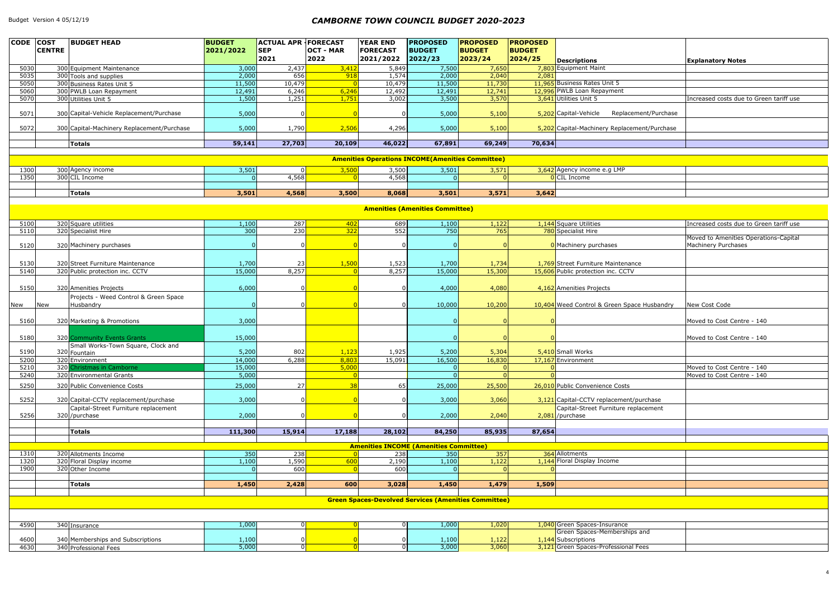| <b>CODE</b> COST | <b>CENTRE</b>                                               | <b>BUDGET HEAD</b>                                                            | <b>BUDGET</b><br>2021/2022 | <b>ACTUAL APR FORECAST</b><br><b>SEP</b> | <b>OCT - MAR</b> | <b>YEAR END</b><br><b>FORECAST</b> | <b>PROPOSED</b><br><b>BUDGET</b>              | <b>PROPOSED</b><br><b>BUDGET</b> | <b>PROPOSED</b><br><b>BUDGET</b> |                                                                                 |                                         |
|------------------|-------------------------------------------------------------|-------------------------------------------------------------------------------|----------------------------|------------------------------------------|------------------|------------------------------------|-----------------------------------------------|----------------------------------|----------------------------------|---------------------------------------------------------------------------------|-----------------------------------------|
|                  |                                                             |                                                                               |                            | 2021                                     | 2022             | 2021/2022                          | 2022/23                                       | 2023/24                          | 2024/25                          | <b>Descriptions</b>                                                             | <b>Explanatory Notes</b>                |
| 5030             |                                                             | 300 Equipment Maintenance                                                     | 3,000                      | 2,437                                    | 3,412            | 5,849                              | 7,500                                         | 7,650                            |                                  | 7,803 Equipment Maint                                                           |                                         |
| 5035             |                                                             | 300 Tools and supplies                                                        | 2,000                      | 656                                      | 918              | 1,574                              | 2,000                                         | 2,040                            | 2,081                            |                                                                                 |                                         |
| 5050             |                                                             | 300 Business Rates Unit 5                                                     | 11,500                     | 10,479                                   | $\overline{0}$   | 10,479                             | 11,500                                        | 11,730                           |                                  | 11,965 Business Rates Unit 5                                                    |                                         |
| 5060             |                                                             | 300 PWLB Loan Repayment                                                       | 12,491                     | 6,246                                    | 6,246            | 12,492                             | 12,491                                        | 12,741                           |                                  | 12,996 PWLB Loan Repayment<br>3,641 Utilities Unit 5                            | Increased costs due to Green tariff use |
| 5070             |                                                             | 300 Utilities Unit 5                                                          | 1,500                      | 1,251                                    | 1,751            | 3,002                              | 3,500                                         | 3,570                            |                                  |                                                                                 |                                         |
| 5071             |                                                             | 300 Capital-Vehicle Replacement/Purchase                                      | 5,000                      |                                          |                  |                                    | 5,000                                         | 5,100                            |                                  | Replacement/Purchase<br>5,202 Capital-Vehicle                                   |                                         |
| 5072             |                                                             | 300 Capital-Machinery Replacement/Purchase                                    | 5,000                      | 1,790                                    | 2,506            | 4,296                              | 5,000                                         | 5,100                            |                                  | 5,202 Capital-Machinery Replacement/Purchase                                    |                                         |
|                  |                                                             | <b>Totals</b>                                                                 | 59,141                     | 27,703                                   | 20,109           | 46,022                             | 67,891                                        | 69,249                           | 70,634                           |                                                                                 |                                         |
|                  |                                                             |                                                                               |                            |                                          |                  |                                    |                                               |                                  |                                  |                                                                                 |                                         |
|                  | <b>Amenities Operations INCOME (Amenities Committee)</b>    |                                                                               |                            |                                          |                  |                                    |                                               |                                  |                                  |                                                                                 |                                         |
| 1300             |                                                             | 300 Agency income                                                             | 3,501                      | $\Omega$                                 | 3,500            | 3,500                              | 3,501                                         | 3,571                            |                                  | 3,642 Agency income e.g LMP                                                     |                                         |
| 1350             |                                                             | 300 CIL Income                                                                |                            | 4,568                                    |                  | 4,568                              | $\Omega$                                      | $\Omega$                         |                                  | <b>O</b> CIL Income                                                             |                                         |
|                  |                                                             | <b>Totals</b>                                                                 | 3,501                      | 4,568                                    | 3,500            | 8,068                              | 3,501                                         | 3,571                            | 3,642                            |                                                                                 |                                         |
|                  |                                                             |                                                                               |                            |                                          |                  |                                    |                                               |                                  |                                  |                                                                                 |                                         |
|                  |                                                             |                                                                               |                            |                                          |                  |                                    | <b>Amenities (Amenities Committee)</b>        |                                  |                                  |                                                                                 |                                         |
| 5100             |                                                             | 320 Square utilities                                                          | 1,100                      | 287                                      | 402              | 689                                | 1,100                                         | 1,122                            |                                  | 1,144 Square Utilities                                                          | Increased costs due to Green tariff use |
| 5110             |                                                             | 320 Specialist Hire                                                           | 300                        | 230                                      | 322              | 552                                | 750                                           | 765                              |                                  | 780 Specialist Hire                                                             |                                         |
|                  |                                                             |                                                                               |                            |                                          |                  |                                    |                                               |                                  |                                  |                                                                                 | Moved to Amenities Operations-Capital   |
| 5120             |                                                             | 320 Machinery purchases                                                       |                            |                                          |                  |                                    |                                               |                                  |                                  | O Machinery purchases                                                           | Machinery Purchases                     |
|                  |                                                             |                                                                               |                            |                                          |                  |                                    |                                               |                                  |                                  |                                                                                 |                                         |
| 5130<br>5140     |                                                             | 320 Street Furniture Maintenance<br>320 Public protection inc. CCTV           | 1,700<br>15,000            | 23<br>8,257                              | 1,500            | 1,523<br>8,257                     | 1,700<br>15,000                               | 1,734<br>15,300                  |                                  | 1,769 Street Furniture Maintenance<br>15,606 Public protection inc. CCTV        |                                         |
|                  |                                                             |                                                                               |                            |                                          |                  |                                    |                                               |                                  |                                  |                                                                                 |                                         |
| 5150             |                                                             | 320 Amenities Projects                                                        | 6,000                      |                                          |                  |                                    | 4,000                                         | 4,080                            |                                  | 4,162 Amenities Projects                                                        |                                         |
|                  |                                                             | Projects - Weed Control & Green Space                                         |                            |                                          |                  |                                    |                                               |                                  |                                  |                                                                                 |                                         |
| New<br>New       |                                                             | Husbandry                                                                     |                            |                                          |                  |                                    | 10,000                                        | 10,200                           |                                  | 10,404 Weed Control & Green Space Husbandry                                     | New Cost Code                           |
| 5160             |                                                             | 320 Marketing & Promotions                                                    | 3,000                      |                                          |                  |                                    |                                               |                                  |                                  |                                                                                 | Moved to Cost Centre - 140              |
|                  |                                                             |                                                                               |                            |                                          |                  |                                    |                                               |                                  |                                  |                                                                                 |                                         |
| 5180             |                                                             | 320 Community Events Grants                                                   | 15,000                     |                                          |                  |                                    |                                               |                                  |                                  |                                                                                 | Moved to Cost Centre - 140              |
| 5190             |                                                             | Small Works-Town Square, Clock and<br>320 Fountain                            | 5,200                      | 802                                      | 1,123            | 1,925                              | 5,200                                         | 5,304                            |                                  | 5,410 Small Works                                                               |                                         |
| 5200             |                                                             | $\overline{320}$ Environment                                                  | 14,000                     | 6,288                                    | 8,803            | 15,091                             | 16,500                                        | 16,830                           |                                  | 17,167 Environment                                                              |                                         |
| 5210             |                                                             | 320 Christmas in Camborne                                                     | 15,000                     |                                          | 5,000            |                                    |                                               |                                  |                                  |                                                                                 | Moved to Cost Centre - 140              |
| 5240             |                                                             | 320 Environmental Grants                                                      | 5,000                      |                                          |                  |                                    | $\overline{0}$                                | $\Omega$                         |                                  |                                                                                 | Moved to Cost Centre - 140              |
| 5250             |                                                             | 320 Public Convenience Costs                                                  | 25,000                     | 27                                       | 38               | 65                                 | 25,000                                        | 25,500                           |                                  | 26,010 Public Convenience Costs                                                 |                                         |
|                  |                                                             |                                                                               |                            |                                          |                  |                                    |                                               |                                  |                                  |                                                                                 |                                         |
| 5252             |                                                             | 320 Capital-CCTV replacement/purchase<br>Capital-Street Furniture replacement | 3,000                      |                                          |                  |                                    | 3,000                                         | 3,060                            |                                  | 3,121 Capital-CCTV replacement/purchase<br>Capital-Street Furniture replacement |                                         |
| 5256             |                                                             | 320 /purchase                                                                 | 2,000                      |                                          |                  |                                    | 2,000                                         | 2,040                            |                                  | $2,081$ /purchase                                                               |                                         |
|                  |                                                             |                                                                               |                            |                                          |                  |                                    |                                               |                                  |                                  |                                                                                 |                                         |
|                  |                                                             | <b>Totals</b>                                                                 | 111,300                    | 15,914                                   | 17,188           | 28,102                             | 84,250                                        | 85,935                           | 87,654                           |                                                                                 |                                         |
|                  |                                                             |                                                                               |                            |                                          |                  |                                    | <b>Amenities INCOME (Amenities Committee)</b> |                                  |                                  |                                                                                 |                                         |
| 1310             |                                                             | 320 Allotments Income                                                         | 350                        | 238                                      |                  | 238                                | 350                                           | $357$                            |                                  | 364 Allotments                                                                  |                                         |
| 1320             |                                                             | 320 Floral Display income                                                     | 1,100                      | 1,590                                    | 600              | 2,190                              | 1,100                                         | 1,122                            |                                  | 1,144 Floral Display Income                                                     |                                         |
| 1900             |                                                             | 320 Other Income                                                              |                            | 600                                      |                  | 600                                |                                               |                                  |                                  |                                                                                 |                                         |
|                  |                                                             |                                                                               |                            |                                          |                  |                                    |                                               |                                  |                                  |                                                                                 |                                         |
|                  |                                                             | Totals                                                                        | 1,450                      | 2,428                                    | 600              | 3,028                              | 1,450                                         | 1,479                            | 1,509                            |                                                                                 |                                         |
|                  | <b>Green Spaces-Devolved Services (Amenities Committee)</b> |                                                                               |                            |                                          |                  |                                    |                                               |                                  |                                  |                                                                                 |                                         |
|                  |                                                             |                                                                               |                            |                                          |                  |                                    |                                               |                                  |                                  |                                                                                 |                                         |
|                  |                                                             |                                                                               |                            |                                          |                  |                                    |                                               |                                  |                                  |                                                                                 |                                         |
| 4590             |                                                             | 340 Insurance                                                                 | 1,000                      | $\Omega$                                 | $\Omega$         |                                    | 1,000                                         | 1,020                            |                                  | 1,040 Green Spaces-Insurance                                                    |                                         |
|                  |                                                             |                                                                               |                            |                                          |                  |                                    |                                               |                                  |                                  | Green Spaces-Memberships and                                                    |                                         |
| 4600<br>4630     |                                                             | 340 Memberships and Subscriptions<br>340 Professional Fees                    | 1,100<br>5,000             |                                          |                  |                                    | 1,100<br>3,000                                | 1,122<br>3,060                   |                                  | 1,144 Subscriptions<br>3,121 Green Spaces-Professional Fees                     |                                         |
|                  |                                                             |                                                                               |                            |                                          |                  |                                    |                                               |                                  |                                  |                                                                                 |                                         |

| <b>Explanatory Notes</b>                |
|-----------------------------------------|
|                                         |
|                                         |
|                                         |
|                                         |
| Increased costs due to Green tariff use |
|                                         |
|                                         |
|                                         |
|                                         |
|                                         |

|                        | Increased costs due to Green tariff use |
|------------------------|-----------------------------------------|
|                        |                                         |
|                        | Moved to Amenities Operations-Capital   |
|                        | Machinery Purchases                     |
|                        |                                         |
| าce                    |                                         |
|                        |                                         |
|                        |                                         |
|                        |                                         |
|                        |                                         |
| ace Husbandry          | New Cost Code                           |
|                        |                                         |
|                        | Moved to Cost Centre - 140              |
|                        |                                         |
|                        |                                         |
|                        | Moved to Cost Centre - 140              |
|                        |                                         |
|                        |                                         |
|                        | Moved to Cost Centre - 140              |
|                        | Moved to Cost Centre - 140              |
|                        |                                         |
|                        |                                         |
|                        |                                         |
| /purchase<br>placement |                                         |
|                        |                                         |
|                        |                                         |
|                        |                                         |
|                        |                                         |
|                        |                                         |
|                        |                                         |
|                        |                                         |
|                        |                                         |
|                        |                                         |
|                        |                                         |
|                        |                                         |
|                        |                                         |
|                        |                                         |
|                        |                                         |
|                        |                                         |
| os and                 |                                         |
|                        |                                         |
|                        |                                         |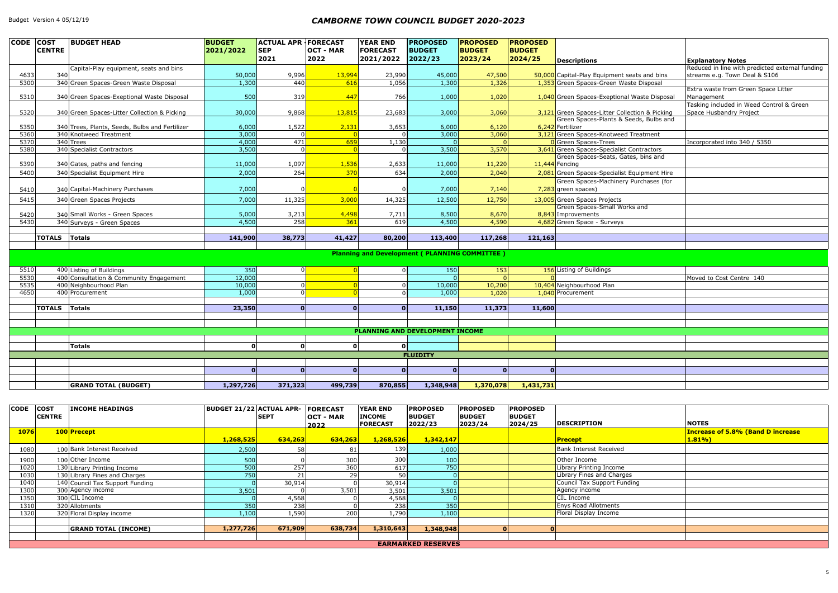| CODE COST |               | <b>BUDGET HEAD</b>                             | <b>BUDGET</b> | <b>ACTUAL APR FORECAST</b> |                  | <b>YEAR END</b> | <b>PROPOSED</b>                                      | <b>PROPOSED</b> | <b>PROPOSED</b> |                                                |                                                 |
|-----------|---------------|------------------------------------------------|---------------|----------------------------|------------------|-----------------|------------------------------------------------------|-----------------|-----------------|------------------------------------------------|-------------------------------------------------|
|           | <b>CENTRE</b> |                                                | 2021/2022     | <b>SEP</b>                 | <b>OCT - MAR</b> | <b>FORECAST</b> | <b>BUDGET</b>                                        | <b>BUDGET</b>   | <b>BUDGET</b>   |                                                |                                                 |
|           |               |                                                |               | 2021                       | 2022             | 2021/2022       | 2022/23                                              | 2023/24         | 2024/25         | <b>Descriptions</b>                            | <b>Explanatory Notes</b>                        |
|           |               | Capital-Play equipment, seats and bins         |               |                            |                  |                 |                                                      |                 |                 |                                                | Reduced in line with predicted external funding |
| 4633      | 340           |                                                | 50,000        | 9,996                      | 13,994           | 23,990          | 45,000                                               | 47,500          |                 | 50,000 Capital-Play Equipment seats and bins   | streams e.g. Town Deal & S106                   |
| 5300      |               | 340 Green Spaces-Green Waste Disposal          | 1,300         | 440                        | 616              | 1,056           | 1,300                                                | 1,326           |                 | 1,353 Green Spaces-Green Waste Disposal        | Extra waste from Green Space Litter             |
| 5310      |               | 340 Green Spaces-Exeptional Waste Disposal     | 500           | 319                        | 447              | 766             | 1,000                                                | 1,020           |                 | 1,040 Green Spaces-Exeptional Waste Disposal   | Management                                      |
|           |               |                                                |               |                            |                  |                 |                                                      |                 |                 |                                                | Tasking included in Weed Control & Green        |
| 5320      |               | 340 Green Spaces-Litter Collection & Picking   | 30,000        | 9,868                      | 13,815           | 23,683          | 3,000                                                | 3,060           |                 | 3,121 Green Spaces-Litter Collection & Picking | Space Husbandry Project                         |
|           |               |                                                |               |                            |                  |                 |                                                      |                 |                 | Green Spaces-Plants & Seeds, Bulbs and         |                                                 |
| 5350      |               | 340 Trees, Plants, Seeds, Bulbs and Fertilizer | 6,000         | 1,522                      | 2,131            | 3,653           | 6,000                                                | 6,120           |                 | 6,242 Fertilizer                               |                                                 |
| 5360      |               | 340 Knotweed Treatment                         | 3,000         |                            |                  |                 | 3,000                                                | 3,060           |                 | 3,121 Green Spaces-Knotweed Treatment          |                                                 |
| 5370      |               | 340 Trees                                      | 4,000         | 471                        | 659              | 1,130           |                                                      | $\Omega$        |                 | <b>0</b> Green Spaces-Trees                    | Incorporated into 340 / 5350                    |
| 5380      |               | 340 Specialist Contractors                     | 3,500         |                            | $\Omega$         |                 | 3,500                                                | 3,570           |                 | 3,641 Green Spaces-Specialist Contractors      |                                                 |
|           |               |                                                |               |                            |                  |                 |                                                      |                 |                 | Green Spaces-Seats, Gates, bins and            |                                                 |
| 5390      |               | 340 Gates, paths and fencing                   | 11,000        | 1,097                      | 1,536            | 2,633           | 11,000                                               | 11,220          |                 | $11,444$ Fencing                               |                                                 |
| 5400      |               | 340 Specialist Equipment Hire                  | 2,000         | 264                        | 370              | 634             | 2,000                                                | 2,040           |                 | 2,081 Green Spaces-Specialist Equipment Hire   |                                                 |
|           |               |                                                |               |                            |                  |                 |                                                      |                 |                 | Green Spaces-Machinery Purchases (for          |                                                 |
| 5410      |               | 340 Capital-Machinery Purchases                | 7,000         |                            |                  |                 | 7,000                                                | 7,140           |                 | $7,283$ green spaces)                          |                                                 |
| 5415      |               | 340 Green Spaces Projects                      | 7,000         | 11,325                     | 3,000            | 14,325          | 12,500                                               | 12,750          |                 | 13,005 Green Spaces Projects                   |                                                 |
|           |               |                                                |               |                            |                  |                 |                                                      |                 |                 | Green Spaces-Small Works and                   |                                                 |
| 5420      |               | 340 Small Works - Green Spaces                 | 5,000         | 3,213                      | 4,498            | 7,711           | 8,500                                                | 8,670           |                 | 8,843 Improvements                             |                                                 |
| 5430      |               | 340 Surveys - Green Spaces                     | 4,500         | 258                        | 361              | 619             | 4,500                                                | 4,590           |                 | 4,682 Green Space - Surveys                    |                                                 |
|           |               |                                                |               |                            |                  |                 |                                                      |                 |                 |                                                |                                                 |
|           | <b>TOTALS</b> | Totals                                         | 141,900       | 38,773                     | 41,427           | 80,200          | 113,400                                              | 117,268         | 121,163         |                                                |                                                 |
|           |               |                                                |               |                            |                  |                 |                                                      |                 |                 |                                                |                                                 |
|           |               |                                                |               |                            |                  |                 | <b>Planning and Development (PLANNING COMMITTEE)</b> |                 |                 |                                                |                                                 |
| 5510      |               | 400 Listing of Buildings                       | 350           |                            | $\Omega$         |                 | 150                                                  | 153             |                 | 156 Listing of Buildings                       |                                                 |
| 5530      |               | 400 Consultation & Community Engagement        | 12,000        |                            |                  |                 | - ol                                                 | $\overline{0}$  |                 |                                                | Moved to Cost Centre 140                        |
| 5535      |               | 400 Neighbourhood Plan                         | 10,000        |                            | $\Omega$         |                 | 10,000                                               | 10,200          |                 | 10,404 Neighbourhood Plan                      |                                                 |
| 4650      |               | 400 Procurement                                | 1,000         |                            |                  |                 | 1,000                                                | 1,020           |                 | 1,040 Procurement                              |                                                 |
|           |               |                                                |               |                            |                  |                 |                                                      |                 |                 |                                                |                                                 |
|           | <b>TOTALS</b> | Totals                                         | 23,350        | n                          | $\Omega$         |                 | 11,150                                               | 11,373          | 11,600          |                                                |                                                 |
|           |               |                                                |               |                            |                  |                 |                                                      |                 |                 |                                                |                                                 |
|           |               |                                                |               |                            |                  |                 |                                                      |                 |                 |                                                |                                                 |
|           |               |                                                |               |                            |                  |                 | PLANNING AND DEVELOPMENT INCOME                      |                 |                 |                                                |                                                 |
|           |               |                                                |               |                            |                  |                 |                                                      |                 |                 |                                                |                                                 |
|           |               | Totals                                         | $\mathbf{0}$  | $\Omega$                   | $\mathbf{0}$     | ΩI              |                                                      |                 |                 |                                                |                                                 |
|           |               |                                                |               |                            |                  |                 | <b>FLUIDITY</b>                                      |                 |                 |                                                |                                                 |
|           |               |                                                |               |                            |                  |                 |                                                      |                 |                 |                                                |                                                 |
|           |               |                                                | $\Omega$      | $\Omega$                   | $\Omega$         | n               | $\Omega$                                             | $\Omega$        | $\Omega$        |                                                |                                                 |
|           |               |                                                |               |                            |                  |                 |                                                      |                 |                 |                                                |                                                 |
|           |               | <b>GRAND TOTAL (BUDGET)</b>                    | 1,297,726     | 371,323                    | 499,739          | 870,855         | 1,348,948                                            | 1,370,078       | 1,431,731       |                                                |                                                 |

| <b>CODE</b> | <b>COST</b>   | <b>INCOME HEADINGS</b>          | <b>BUDGET 21/22 ACTUAL APR- FORECAST</b> |             |                  | <b>YEAR END</b> | <b>PROPOSED</b>           | <b>PROPOSED</b> | <b>PROPOSED</b> |                             |                                          |
|-------------|---------------|---------------------------------|------------------------------------------|-------------|------------------|-----------------|---------------------------|-----------------|-----------------|-----------------------------|------------------------------------------|
|             | <b>CENTRE</b> |                                 |                                          | <b>SEPT</b> | <b>OCT - MAR</b> | <b>INCOME</b>   | <b>BUDGET</b>             | <b>BUDGET</b>   | <b>BUDGET</b>   |                             |                                          |
|             |               |                                 |                                          |             | 2022             | <b>FORECAST</b> | 2022/23                   | 2023/24         | 2024/25         | <b>DESCRIPTION</b>          | <b>NOTES</b>                             |
| <b>1076</b> |               | 100 Precept                     |                                          |             |                  |                 |                           |                 |                 |                             | <b>Increase of 5.8% (Band D increase</b> |
|             |               |                                 | 1,268,525                                | 634,263     | 634,263          | 1,268,526       | 1,342,147                 |                 |                 | <b>Precept</b>              | $1.81\%$                                 |
| 1080        |               | 100 Bank Interest Received      | 2,500                                    | 58          | 81               | 139             | 1,000                     |                 |                 | Bank Interest Received      |                                          |
| 1900        |               | 100 Other Income                | 500                                      |             | 300              | 300             | 100                       |                 |                 | Other Income                |                                          |
| 1020        |               | 130 Library Printing Income     | 500                                      | 257         | 360              | 617             | 750                       |                 |                 | Library Printing Income     |                                          |
| 1030        |               | 130 Library Fines and Charges   | 750                                      | 21          |                  |                 |                           |                 |                 | Library Fines and Charges   |                                          |
| 1040        |               | 140 Council Tax Support Funding |                                          | 30,914      |                  | 30,914          |                           |                 |                 | Council Tax Support Funding |                                          |
| 1300        |               | 300 Agency income               | 3,501                                    |             | 3,501            | 3,501           | 3,501                     |                 |                 | Agency income               |                                          |
| 1350        |               | 300 CIL Income                  |                                          | 4,568       |                  | 4,568           |                           |                 |                 | CIL Income                  |                                          |
| 1310        |               | 320 Allotments                  | 350                                      | 238         |                  | 238             | 350                       |                 |                 | <b>Enys Road Allotments</b> |                                          |
| 1320        |               | 320 Floral Display income       | 1,100                                    | 1,590       | 200              | 1,790           | 1,100                     |                 |                 | Floral Display Income       |                                          |
|             |               |                                 |                                          |             |                  |                 |                           |                 |                 |                             |                                          |
|             |               | <b>GRAND TOTAL (INCOME)</b>     | 1,277,726                                | 671,909     | 638,734          | 1,310,643       | 1,348,948                 |                 |                 |                             |                                          |
|             |               |                                 |                                          |             |                  |                 |                           |                 |                 |                             |                                          |
|             |               |                                 |                                          |             |                  |                 | <b>EARMARKED RESERVES</b> |                 |                 |                             |                                          |

|                             | <b>Explanatory Notes</b>                        |
|-----------------------------|-------------------------------------------------|
|                             | Reduced in line with predicted external funding |
| ats and bins                | streams e.g. Town Deal & S106                   |
| e Disposal                  |                                                 |
|                             | Extra waste from Green Space Litter             |
| <b>Naste Disposal</b>       | Management                                      |
|                             | Tasking included in Weed Control & Green        |
| tion & Picking              | Space Husbandry Project                         |
| eds, Bulbs and              |                                                 |
|                             |                                                 |
| reatment                    |                                                 |
|                             | Incorporated into 340 / 5350                    |
| ontractors                  |                                                 |
| s, bins and                 |                                                 |
| quipment Hire               |                                                 |
| urchases (for               |                                                 |
|                             |                                                 |
|                             |                                                 |
| $\overline{\mathsf{s}}$ and |                                                 |
|                             |                                                 |
|                             |                                                 |
|                             |                                                 |
|                             |                                                 |
|                             |                                                 |